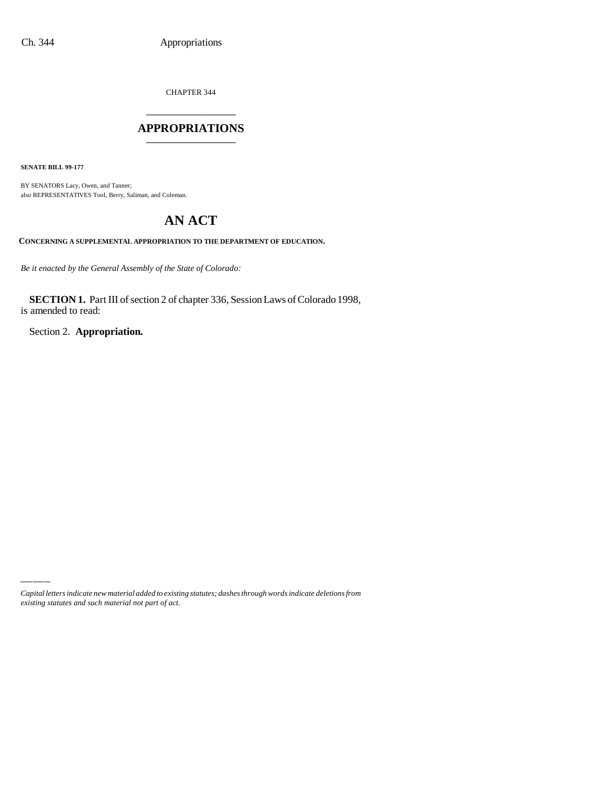CHAPTER 344 \_\_\_\_\_\_\_\_\_\_\_\_\_\_\_

### **APPROPRIATIONS** \_\_\_\_\_\_\_\_\_\_\_\_\_\_\_

**SENATE BILL 99-177**

BY SENATORS Lacy, Owen, and Tanner; also REPRESENTATIVES Tool, Berry, Saliman, and Coleman.

# **AN ACT**

**CONCERNING A SUPPLEMENTAL APPROPRIATION TO THE DEPARTMENT OF EDUCATION.**

*Be it enacted by the General Assembly of the State of Colorado:*

**SECTION 1.** Part III of section 2 of chapter 336, Session Laws of Colorado 1998, is amended to read:

Section 2. **Appropriation.**

*Capital letters indicate new material added to existing statutes; dashes through words indicate deletions from existing statutes and such material not part of act.*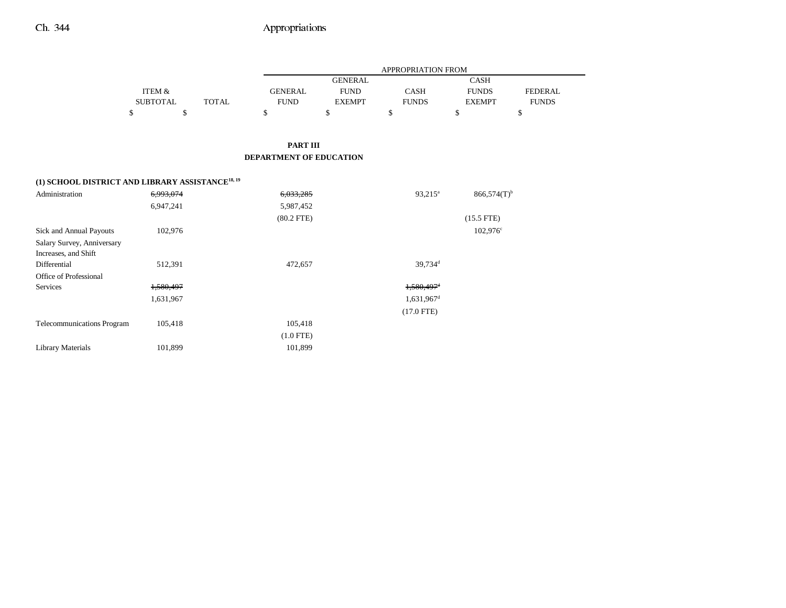|                                                              |                 |              |                                |                | APPROPRIATION FROM       |                           |                |
|--------------------------------------------------------------|-----------------|--------------|--------------------------------|----------------|--------------------------|---------------------------|----------------|
|                                                              |                 |              |                                | <b>GENERAL</b> |                          | <b>CASH</b>               |                |
|                                                              | ITEM &          |              | <b>GENERAL</b>                 | <b>FUND</b>    | CASH                     | <b>FUNDS</b>              | <b>FEDERAL</b> |
|                                                              | <b>SUBTOTAL</b> | <b>TOTAL</b> | <b>FUND</b>                    | <b>EXEMPT</b>  | <b>FUNDS</b>             | <b>EXEMPT</b>             | <b>FUNDS</b>   |
|                                                              | \$              | \$           | \$                             | $\mathbb S$    | \$                       | \$                        | \$             |
|                                                              |                 |              |                                |                |                          |                           |                |
|                                                              |                 |              | <b>PART III</b>                |                |                          |                           |                |
|                                                              |                 |              | <b>DEPARTMENT OF EDUCATION</b> |                |                          |                           |                |
|                                                              |                 |              |                                |                |                          |                           |                |
| (1) SCHOOL DISTRICT AND LIBRARY ASSISTANCE <sup>18, 19</sup> |                 |              |                                |                |                          |                           |                |
| Administration                                               | 6,993,074       |              | 6,033,285                      |                | $93,215^a$               | $866,574(T)$ <sup>b</sup> |                |
|                                                              | 6,947,241       |              | 5,987,452                      |                |                          |                           |                |
|                                                              |                 |              | $(80.2$ FTE)                   |                |                          | $(15.5$ FTE)              |                |
| Sick and Annual Payouts                                      | 102,976         |              |                                |                |                          | $102,976^{\circ}$         |                |
| Salary Survey, Anniversary                                   |                 |              |                                |                |                          |                           |                |
| Increases, and Shift                                         |                 |              |                                |                |                          |                           |                |
| Differential                                                 | 512,391         |              | 472,657                        |                | 39,734 <sup>d</sup>      |                           |                |
| Office of Professional                                       |                 |              |                                |                |                          |                           |                |
| Services                                                     | 1,580,497       |              |                                |                | $1.580.497$ <sup>d</sup> |                           |                |
|                                                              | 1,631,967       |              |                                |                | $1,631,967$ <sup>d</sup> |                           |                |
|                                                              |                 |              |                                |                | $(17.0$ FTE)             |                           |                |
| Telecommunications Program                                   | 105,418         |              | 105,418                        |                |                          |                           |                |
|                                                              |                 |              | $(1.0$ FTE)                    |                |                          |                           |                |
| <b>Library Materials</b>                                     | 101,899         |              | 101,899                        |                |                          |                           |                |

–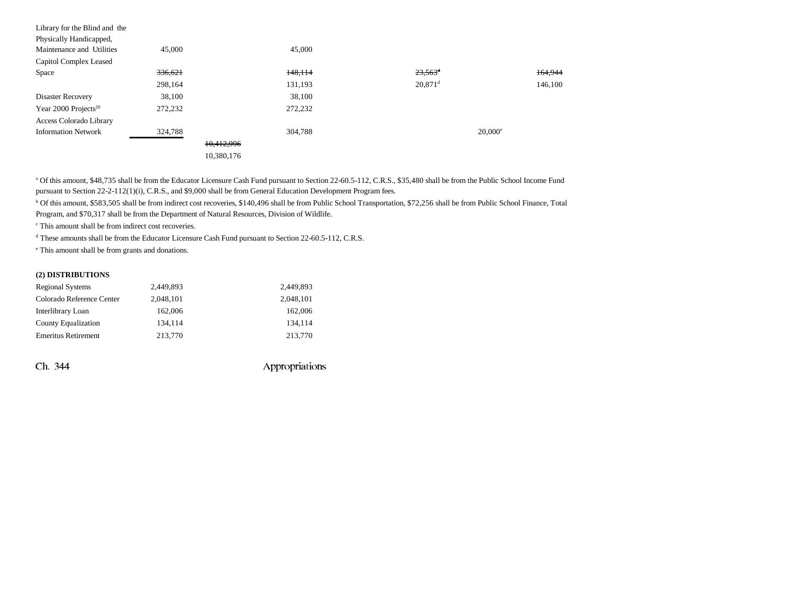| Library for the Blind and the    |         |            |         |                       |         |
|----------------------------------|---------|------------|---------|-----------------------|---------|
| Physically Handicapped,          |         |            |         |                       |         |
| Maintenance and Utilities        | 45,000  |            | 45,000  |                       |         |
| Capitol Complex Leased           |         |            |         |                       |         |
| Space                            | 336,621 |            | 148,114 | $23,563$ <sup>d</sup> | 164,944 |
|                                  | 298,164 |            | 131,193 | $20,871$ <sup>d</sup> | 146,100 |
| Disaster Recovery                | 38,100  |            | 38,100  |                       |         |
| Year 2000 Projects <sup>20</sup> | 272,232 |            | 272,232 |                       |         |
| Access Colorado Library          |         |            |         |                       |         |
| <b>Information Network</b>       | 324,788 |            | 304.788 | $20,000^{\circ}$      |         |
|                                  |         | 10,412,996 |         |                       |         |
|                                  |         | 10.380.176 |         |                       |         |

a Of this amount, \$48,735 shall be from the Educator Licensure Cash Fund pursuant to Section 22-60.5-112, C.R.S., \$35,480 shall be from the Public School Income Fund pursuant to Section 22-2-112(1)(i), C.R.S., and \$9,000 shall be from General Education Development Program fees.

b Of this amount, \$583,505 shall be from indirect cost recoveries, \$140,496 shall be from Public School Transportation, \$72,256 shall be from Public School Finance, Total Program, and \$70,317 shall be from the Department of Natural Resources, Division of Wildlife.

c This amount shall be from indirect cost recoveries.

d These amounts shall be from the Educator Licensure Cash Fund pursuant to Section 22-60.5-112, C.R.S.

e This amount shall be from grants and donations.

#### **(2) DISTRIBUTIONS**

| <b>Regional Systems</b>    | 2,449,893 | 2,449,893 |
|----------------------------|-----------|-----------|
| Colorado Reference Center  | 2,048,101 | 2,048,101 |
| Interlibrary Loan          | 162,006   | 162,006   |
| <b>County Equalization</b> | 134.114   | 134.114   |
| <b>Emeritus Retirement</b> | 213,770   | 213,770   |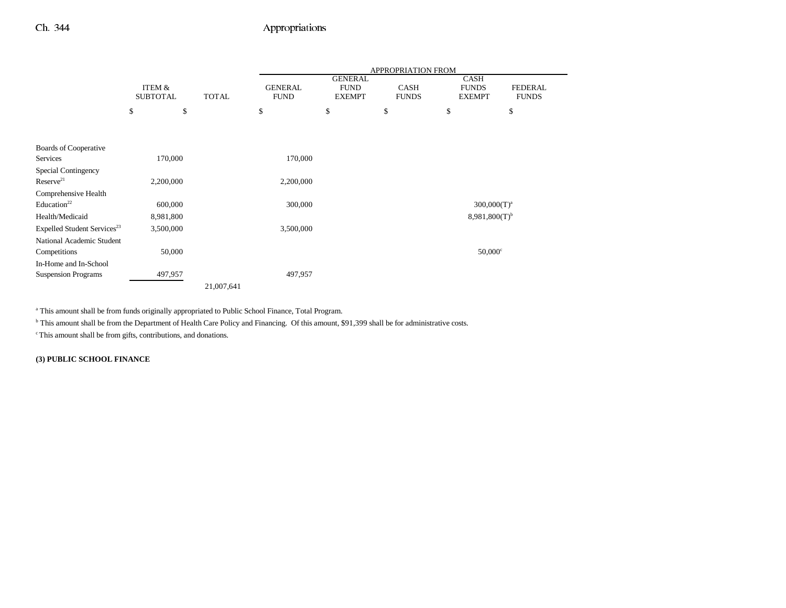|                                         |                 |              | APPROPRIATION FROM |                               |              |                             |                |  |
|-----------------------------------------|-----------------|--------------|--------------------|-------------------------------|--------------|-----------------------------|----------------|--|
|                                         | ITEM &          |              | <b>GENERAL</b>     | <b>GENERAL</b><br><b>FUND</b> | <b>CASH</b>  | <b>CASH</b><br><b>FUNDS</b> | <b>FEDERAL</b> |  |
|                                         | <b>SUBTOTAL</b> | <b>TOTAL</b> | <b>FUND</b>        | <b>EXEMPT</b>                 | <b>FUNDS</b> | <b>EXEMPT</b>               | <b>FUNDS</b>   |  |
|                                         | \$              | \$           | \$                 | \$                            | \$           | \$                          | \$             |  |
|                                         |                 |              |                    |                               |              |                             |                |  |
|                                         |                 |              |                    |                               |              |                             |                |  |
| Boards of Cooperative                   |                 |              |                    |                               |              |                             |                |  |
| Services                                | 170,000         |              | 170,000            |                               |              |                             |                |  |
| <b>Special Contingency</b>              |                 |              |                    |                               |              |                             |                |  |
| Reserve <sup>21</sup>                   | 2,200,000       |              | 2,200,000          |                               |              |                             |                |  |
| Comprehensive Health                    |                 |              |                    |                               |              |                             |                |  |
| Education <sup>22</sup>                 | 600,000         |              | 300,000            |                               |              | $300,000(T)^a$              |                |  |
| Health/Medicaid                         | 8,981,800       |              |                    |                               |              | $8,981,800(T)$ <sup>b</sup> |                |  |
| Expelled Student Services <sup>23</sup> | 3,500,000       |              | 3,500,000          |                               |              |                             |                |  |
| National Academic Student               |                 |              |                    |                               |              |                             |                |  |
| Competitions                            | 50,000          |              |                    |                               |              | $50,000$ <sup>c</sup>       |                |  |
| In-Home and In-School                   |                 |              |                    |                               |              |                             |                |  |
| <b>Suspension Programs</b>              | 497,957         |              | 497,957            |                               |              |                             |                |  |
|                                         |                 | 21,007,641   |                    |                               |              |                             |                |  |

<sup>a</sup> This amount shall be from funds originally appropriated to Public School Finance, Total Program.

<sup>b</sup> This amount shall be from the Department of Health Care Policy and Financing. Of this amount, \$91,399 shall be for administrative costs.

c This amount shall be from gifts, contributions, and donations.

**(3) PUBLIC SCHOOL FINANCE**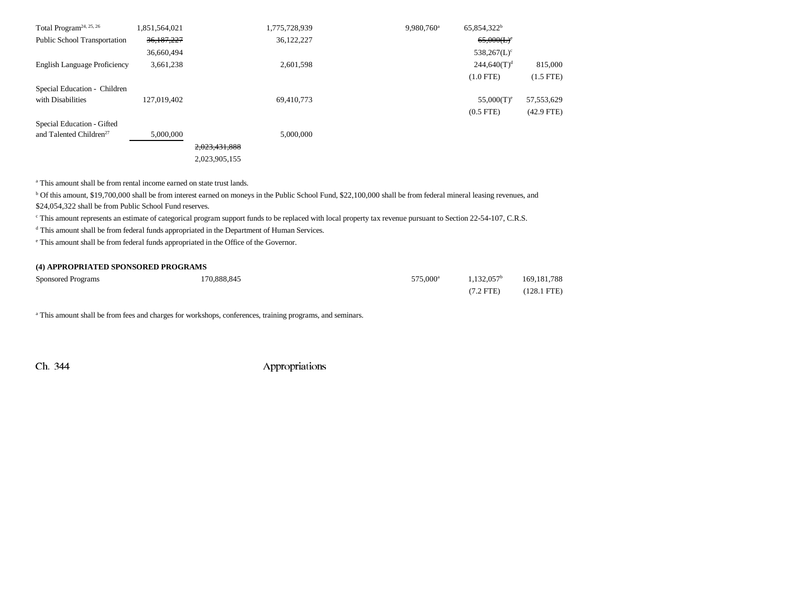| Total Program <sup>24, 25, 26</sup> | 1,851,564,021 |               | 1,775,728,939 | 9.980.760 <sup>a</sup> | 65,854,322 <sup>b</sup>   |                |
|-------------------------------------|---------------|---------------|---------------|------------------------|---------------------------|----------------|
| <b>Public School Transportation</b> | 36,187,227    |               | 36,122,227    |                        | 65,000(L)                 |                |
|                                     | 36,660,494    |               |               |                        | $538,267(L)$ <sup>c</sup> |                |
| English Language Proficiency        | 3,661,238     |               | 2,601,598     |                        | $244,640(T)^d$            | 815,000        |
|                                     |               |               |               |                        | $(1.0$ FTE)               | $(1.5$ FTE $)$ |
| Special Education - Children        |               |               |               |                        |                           |                |
| with Disabilities                   | 127,019,402   |               | 69,410,773    |                        | $55,000(T)^e$             | 57, 553, 629   |
|                                     |               |               |               |                        | $(0.5$ FTE $)$            | $(42.9$ FTE)   |
| Special Education - Gifted          |               |               |               |                        |                           |                |
| and Talented Children <sup>27</sup> | 5,000,000     |               | 5,000,000     |                        |                           |                |
|                                     |               | 2,023,431,888 |               |                        |                           |                |
|                                     |               | 2.023.905.155 |               |                        |                           |                |

a This amount shall be from rental income earned on state trust lands.

b Of this amount, \$19,700,000 shall be from interest earned on moneys in the Public School Fund, \$22,100,000 shall be from federal mineral leasing revenues, and \$24,054,322 shall be from Public School Fund reserves.

c This amount represents an estimate of categorical program support funds to be replaced with local property tax revenue pursuant to Section 22-54-107, C.R.S.

d This amount shall be from federal funds appropriated in the Department of Human Services.

e This amount shall be from federal funds appropriated in the Office of the Governor.

#### **(4) APPROPRIATED SPONSORED PROGRAMS**

| <b>Sponsored Programs</b> | 170,888,845 | 575.000 <sup>a</sup> | $1.132.057^b$ | 169, 181, 788         |
|---------------------------|-------------|----------------------|---------------|-----------------------|
|                           |             |                      | $(7.2$ FTE)   | $(128.1 \text{ FTE})$ |

<sup>a</sup> This amount shall be from fees and charges for workshops, conferences, training programs, and seminars.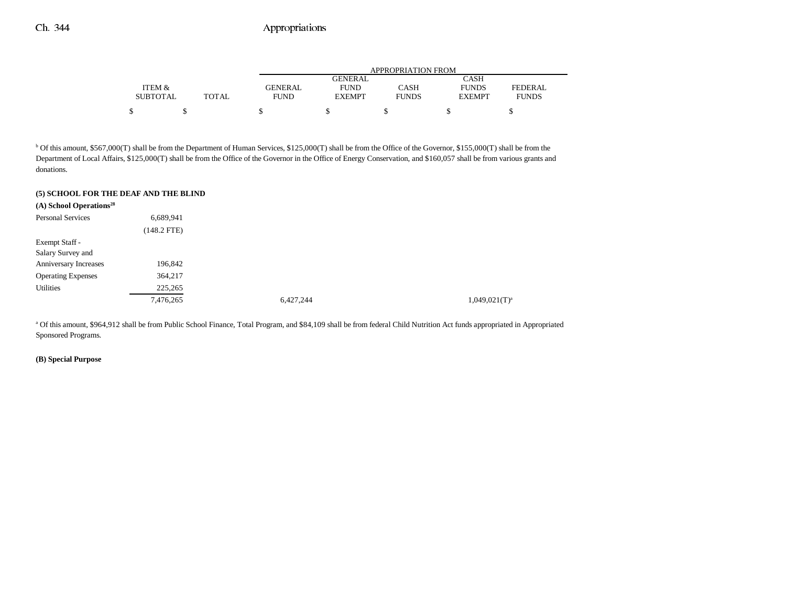|                 |       |                | APPROPRIATION FROM |              |               |                |  |  |  |  |
|-----------------|-------|----------------|--------------------|--------------|---------------|----------------|--|--|--|--|
|                 |       |                | GENERAL            |              | CASH          |                |  |  |  |  |
| ITEM &          |       | <b>GENERAL</b> | <b>FUND</b>        | CASH         | <b>FUNDS</b>  | <b>FEDERAL</b> |  |  |  |  |
| <b>SUBTOTAL</b> | TOTAL | FUND           | <b>EXEMPT</b>      | <b>FUNDS</b> | <b>EXEMPT</b> | <b>FUNDS</b>   |  |  |  |  |
| S               |       |                |                    |              |               |                |  |  |  |  |

<sup>b</sup> Of this amount, \$567,000(T) shall be from the Department of Human Services, \$125,000(T) shall be from the Office of the Governor, \$155,000(T) shall be from the Department of Local Affairs, \$125,000(T) shall be from the Office of the Governor in the Office of Energy Conservation, and \$160,057 shall be from various grants and donations.

#### **(5) SCHOOL FOR THE DEAF AND THE BLIND**

| (A) School Operations <sup>28</sup> |               |           |                    |
|-------------------------------------|---------------|-----------|--------------------|
| <b>Personal Services</b>            | 6,689,941     |           |                    |
|                                     | $(148.2$ FTE) |           |                    |
| Exempt Staff -                      |               |           |                    |
| Salary Survey and                   |               |           |                    |
| Anniversary Increases               | 196,842       |           |                    |
| <b>Operating Expenses</b>           | 364,217       |           |                    |
| Utilities                           | 225,265       |           |                    |
|                                     | 7,476,265     | 6,427,244 | $1,049,021(T)^{a}$ |

a Of this amount, \$964,912 shall be from Public School Finance, Total Program, and \$84,109 shall be from federal Child Nutrition Act funds appropriated in Appropriated Sponsored Programs.

#### **(B) Special Purpose**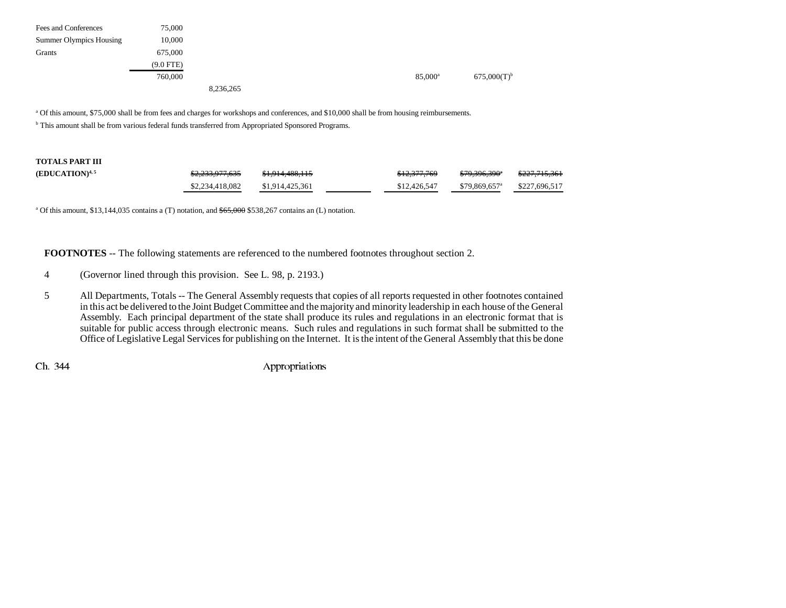| Fees and Conferences    | 75,000      |           |                  |                  |
|-------------------------|-------------|-----------|------------------|------------------|
| Summer Olympics Housing | 10,000      |           |                  |                  |
| Grants                  | 675,000     |           |                  |                  |
|                         | $(9.0$ FTE) |           |                  |                  |
|                         | 760,000     |           | $85,000^{\rm a}$ | $675,000(T)^{b}$ |
|                         |             | 8,236,265 |                  |                  |

a Of this amount, \$75,000 shall be from fees and charges for workshops and conferences, and \$10,000 shall be from housing reimbursements.

**b** This amount shall be from various federal funds transferred from Appropriated Sponsored Programs.

| <b>TOTALS PART III</b> |                 |                 |              |                            |                          |
|------------------------|-----------------|-----------------|--------------|----------------------------|--------------------------|
| $(EDUCATION)^{4,5}$    | \$2,233,977,635 | \$1,914,488,115 | \$12,377,769 | \$79,396,390°              | <del>\$227,715,361</del> |
|                        | \$2,234,418,082 | \$1,914,425,361 | \$12,426,547 | $$79.869.657$ <sup>a</sup> | \$227,696,517            |

<sup>a</sup> Of this amount, \$13,144,035 contains a (T) notation, and  $\frac{665,000}{6}$  \$538,267 contains an (L) notation.

**FOOTNOTES** -- The following statements are referenced to the numbered footnotes throughout section 2.

- 4 (Governor lined through this provision. See L. 98, p. 2193.)
- 5 All Departments, Totals -- The General Assembly requests that copies of all reports requested in other footnotes contained in this act be delivered to the Joint Budget Committee and the majority and minority leadership in each house of the General Assembly. Each principal department of the state shall produce its rules and regulations in an electronic format that is suitable for public access through electronic means. Such rules and regulations in such format shall be submitted to the Office of Legislative Legal Services for publishing on the Internet. It is the intent of the General Assembly that this be done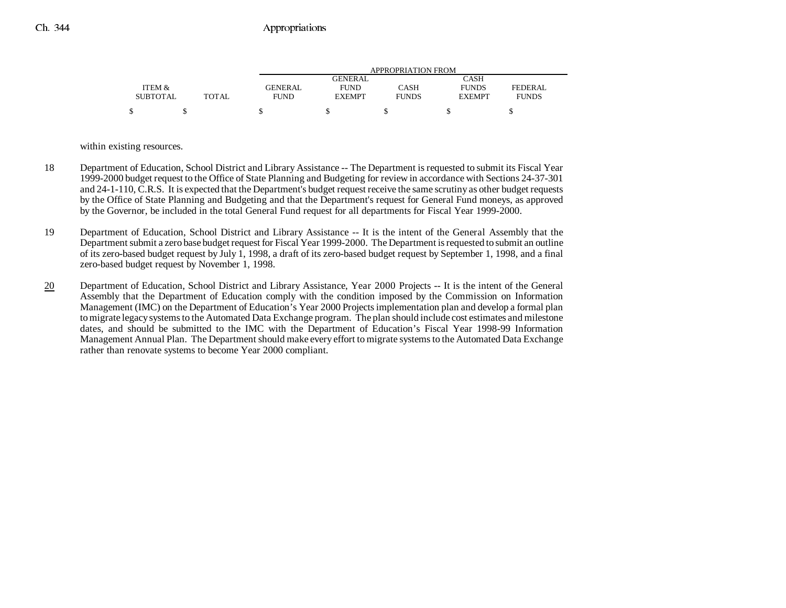|                 |       |         | APPROPRIATION FROM |              |               |              |  |  |  |  |
|-----------------|-------|---------|--------------------|--------------|---------------|--------------|--|--|--|--|
|                 |       |         | GENERAL            |              | CASH          |              |  |  |  |  |
| ITEM &          |       | GENERAL | <b>FUND</b>        | CASH         | <b>FUNDS</b>  | FEDERAL      |  |  |  |  |
| <b>SUBTOTAL</b> | TOTAL | FUND    | <b>EXEMPT</b>      | <b>FUNDS</b> | <b>EXEMPT</b> | <b>FUNDS</b> |  |  |  |  |
|                 |       |         |                    |              |               |              |  |  |  |  |

within existing resources.

- 18 Department of Education, School District and Library Assistance -- The Department is requested to submit its Fiscal Year 1999-2000 budget request to the Office of State Planning and Budgeting for review in accordance with Sections 24-37-301 and 24-1-110, C.R.S. It is expected that the Department's budget request receive the same scrutiny as other budget requests by the Office of State Planning and Budgeting and that the Department's request for General Fund moneys, as approved by the Governor, be included in the total General Fund request for all departments for Fiscal Year 1999-2000.
- 19 Department of Education, School District and Library Assistance -- It is the intent of the General Assembly that the Department submit a zero base budget request for Fiscal Year 1999-2000. The Department is requested to submit an outline of its zero-based budget request by July 1, 1998, a draft of its zero-based budget request by September 1, 1998, and a final zero-based budget request by November 1, 1998.
- 20 Department of Education, School District and Library Assistance, Year 2000 Projects -- It is the intent of the General Assembly that the Department of Education comply with the condition imposed by the Commission on Information Management (IMC) on the Department of Education's Year 2000 Projects implementation plan and develop a formal plan to migrate legacy systems to the Automated Data Exchange program. The plan should include cost estimates and milestone dates, and should be submitted to the IMC with the Department of Education's Fiscal Year 1998-99 Information Management Annual Plan. The Department should make every effort to migrate systems to the Automated Data Exchange rather than renovate systems to become Year 2000 compliant.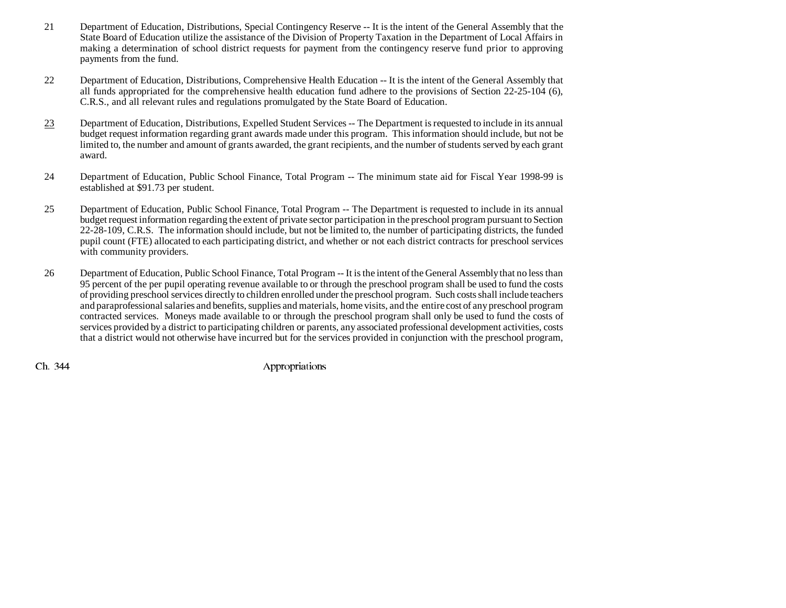- 21 Department of Education, Distributions, Special Contingency Reserve -- It is the intent of the General Assembly that the State Board of Education utilize the assistance of the Division of Property Taxation in the Department of Local Affairs in making a determination of school district requests for payment from the contingency reserve fund prior to approving payments from the fund.
- 22 Department of Education, Distributions, Comprehensive Health Education -- It is the intent of the General Assembly that all funds appropriated for the comprehensive health education fund adhere to the provisions of Section 22-25-104 (6), C.R.S., and all relevant rules and regulations promulgated by the State Board of Education.
- 23 Department of Education, Distributions, Expelled Student Services -- The Department is requested to include in its annual budget request information regarding grant awards made under this program. This information should include, but not be limited to, the number and amount of grants awarded, the grant recipients, and the number of students served by each grant award.
- 24 Department of Education, Public School Finance, Total Program -- The minimum state aid for Fiscal Year 1998-99 is established at \$91.73 per student.
- 25 Department of Education, Public School Finance, Total Program -- The Department is requested to include in its annual budget request information regarding the extent of private sector participation in the preschool program pursuant to Section 22-28-109, C.R.S. The information should include, but not be limited to, the number of participating districts, the funded pupil count (FTE) allocated to each participating district, and whether or not each district contracts for preschool services with community providers.
- 26 Department of Education, Public School Finance, Total Program -- It is the intent of the General Assembly that no less than 95 percent of the per pupil operating revenue available to or through the preschool program shall be used to fund the costs of providing preschool services directly to children enrolled under the preschool program. Such costs shall include teachers and paraprofessional salaries and benefits, supplies and materials, home visits, and the entire cost of any preschool program contracted services. Moneys made available to or through the preschool program shall only be used to fund the costs of services provided by a district to participating children or parents, any associated professional development activities, costs that a district would not otherwise have incurred but for the services provided in conjunction with the preschool program,